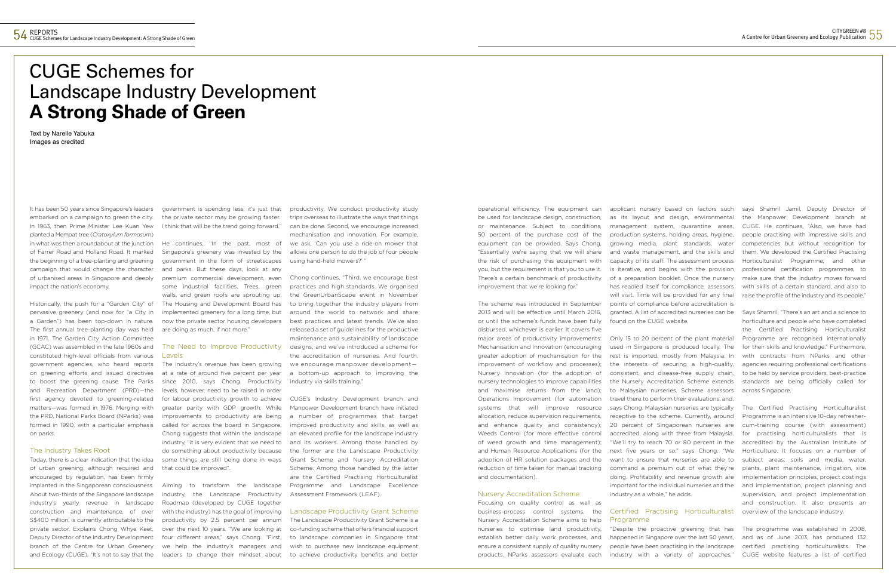# CUGE Schemes for Landscape Industry Development **A Strong Shade of Green**

Text by Narelle Yabuka Images as credited

It has been 50 years since Singapore's leaders embarked on a campaign to green the city. In 1963, then Prime Minister Lee Kuan Yew planted a Mempat tree (*Cratoxylum formosum*) in what was then a roundabout at the junction of Farrer Road and Holland Road. It marked the beginning of a tree-planting and greening campaign that would change the character of urbanised areas in Singapore and deeply impact the nation's economy.

Historically, the push for a "Garden City" of pervasive greenery (and now for "a City in a Garden") has been top-down in nature. The first annual tree-planting day was held in 1971. The Garden City Action Committee (GCAC) was assembled in the late 1960s and constituted high-level officials from various government agencies, who heard reports on greening efforts and issued directives to boost the greening cause. The Parks and Recreation Department (PRD)—the first agency devoted to greening-related matters—was formed in 1976. Merging with the PRD, National Parks Board (NParks) was formed in 1990, with a particular emphasis on parks.

### The Industry Takes Root

Today, there is a clear indication that the idea of urban greening, although required and encouraged by regulation, has been firmly implanted in the Singaporean consciousness. About two-thirds of the Singapore landscape industry's yearly revenue in landscape construction and maintenance, of over S\$400 million, is currently attributable to the private sector. Explains Chong Whye Keet, Deputy Director of the Industry Development branch of the Centre for Urban Greenery and Ecology (CUGE), "It's not to say that the

Chong continues, "Third, we encourage best practices and high standards. We organised the GreenUrbanScape event in November to bring together the industry players from around the world to network and share best practices and latest trends. We've also released a set of guidelines for the productive maintenance and sustainability of landscape designs, and we've introduced a scheme for the accreditation of nurseries. And fourth, we encourage manpower development a bottom-up approach to improving the industry via skills training.

government is spending less; it's just that the private sector may be growing faster. I think that will be the trend going forward."

He continues, "In the past, most of Singapore's greenery was invested by the government in the form of streetscapes and parks. But these days, look at any premium commercial development, even some industrial facilities. Trees, green walls, and green roofs are sprouting up. The Housing and Development Board has implemented greenery for a long time, but now the private sector housing developers are doing as much, if not more."

### The Need to Improve Productivity Levels

The industry's revenue has been growing at a rate of around five percent per year since 2010, says Chong. Productivity levels, however, need to be raised in order for labour productivity growth to achieve greater parity with GDP growth. While improvements to productivity are being called for across the board in Singapore, Chong suggests that within the landscape industry, "it is very evident that we need to do something about productivity because some things are still being done in ways that could be improved".

Aiming to transform the landscape industry, the Landscape Productivity Roadmap (developed by CUGE together with the industry) has the goal of improving productivity by 2.5 percent per annum over the next 10 years. "We are looking at four different areas," says Chong. "First, we help the industry's managers and leaders to change their mindset about

productivity. We conduct productivity study trips overseas to illustrate the ways that things can be done. Second, we encourage increased mechanisation and innovation. For example, we ask, 'Can you use a ride-on mower that allows one person to do the job of four people using hand-held mowers?' "

CUGE's Industry Development branch and Manpower Development branch have initiated a number of programmes that target improved productivity and skills, as well as an elevated profile for the landscape industry and its workers. Among those handled by the former are the Landscape Productivity Grant Scheme and Nursery Accreditation Scheme. Among those handled by the latter are the Certified Practising Horticulturalist Programme and Landscape Excellence Assessment Framework (LEAF).

#### Landscape Productivity Grant Scheme

The Landscape Productivity Grant Scheme is a co-funding scheme that offers financial support to landscape companies in Singapore that wish to purchase new landscape equipment to achieve productivity benefits and better operational efficiency. The equipment can be used for landscape design, construction, or maintenance. Subject to conditions, 50 percent of the purchase cost of the equipment can be provided. Says Chong, "Essentially we're saying that we will share the risk of purchasing this equipment with you, but the requirement is that you to use it. There's a certain benchmark of productivity improvement that we're looking for."

The scheme was introduced in September 2013 and will be effective until March 2016, or until the scheme's funds have been fully disbursed, whichever is earlier. It covers five major areas of productivity improvements: Mechanisation and Innovation (encouraging greater adoption of mechanisation for the improvement of workflow and processes); Nursery Innovation (for the adoption of nursery technologies to improve capabilities and maximise returns from the land); Operations Improvement (for automation systems that will improve resource allocation, reduce supervision requirements, and enhance quality and consistency); Weeds Control (for more effective control of weed growth and time management); and Human Resource Applications (for the adoption of HR solution packages and the reduction of time taken for manual tracking and documentation).

### Nursery Accreditation Scheme

Focusing on quality control as well as business-process control systems, the Nursery Accreditation Scheme aims to help nurseries to optimise land productivity, establish better daily work processes, and ensure a consistent supply of quality nursery products. NParks assessors evaluate each

applicant nursery based on factors such as its layout and design, environmental management system, quarantine areas, production systems, holding areas, hygiene, growing media, plant standards, water and waste management, and the skills and capacity of its staff. The assessment process is iterative, and begins with the provision of a preparation booklet. Once the nursery has readied itself for compliance, assessors will visit. Time will be provided for any final points of compliance before accreditation is granted. A list of accredited nurseries can be found on the CUGE website.

Only 15 to 20 percent of the plant material used in Singapore is produced locally. The rest is imported, mostly from Malaysia. In the interests of securing a high-quality, consistent, and disease-free supply chain, the Nursery Accreditation Scheme extends to Malaysian nurseries. Scheme assessors travel there to perform their evaluations, and, says Chong, Malaysian nurseries are typically receptive to the scheme. Currently, around 20 percent of Singaporean nurseries are accredited, along with three from Malaysia. "We'll try to reach 70 or 80 percent in the next five years or so," says Chong. "We want to ensure that nurseries are able to command a premium out of what they're doing. Profitability and revenue growth are important for the individual nurseries and the industry as a whole," he adds.

### Certified Practising Horticulturalist overview of the landscape industry. Programme

"Despite the proactive greening that has industry with a variety of approaches,"

says Shamril Jamil, Deputy Director of the Manpower Development branch at CUGE. He continues, "Also, we have had people practising with impressive skills and competencies but without recognition for them. We developed the Certified Practising Horticulturalist Programme, and other professional certification programmes, to make sure that the industry moves forward with skills of a certain standard, and also to raise the profile of the industry and its people."

Says Shamril, "There's an art and a science to horticulture and people who have completed the Certified Practising Horticulturalist Programme are recognised internationally for their skills and knowledge." Furthermore, with contracts from NParks and other agencies requiring professional certifications to be held by service providers, best-practice standards are being officially called for across Singapore.

happened in Singapore over the last 50 years, and as of June 2013, has produced 132 people have been practising in the landscape certified practising horticulturalists. The The programme was established in 2008, CUGE website features a list of certified

The Certified Practising Horticulturalist Programme is an intensive 10-day refreshercum-training course (with assessment) for practising horticulturalists that is accredited by the Australian Institute of Horticulture. It focuses on a number of subject areas: soils and media, water, plants, plant maintenance, irrigation, site implementation principles, project costings and implementation, project planning and supervision, and project implementation and construction. It also presents an